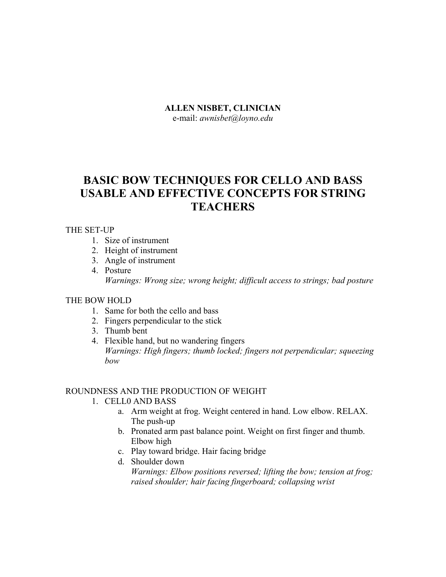#### **ALLEN NISBET, CLINICIAN**

e-mail: *awnisbet@loyno.edu* 

# **BASIC BOW TECHNIQUES FOR CELLO AND BASS USABLE AND EFFECTIVE CONCEPTS FOR STRING TEACHERS**

#### THE SET-UP

- 1. Size of instrument
- 2. Height of instrument
- 3. Angle of instrument
- 4. Posture *Warnings: Wrong size; wrong height; difficult access to strings; bad posture*

## THE BOW HOLD

- 1. Same for both the cello and bass
- 2. Fingers perpendicular to the stick
- 3. Thumb bent
- 4. Flexible hand, but no wandering fingers *Warnings: High fingers; thumb locked; fingers not perpendicular; squeezing bow*

## ROUNDNESS AND THE PRODUCTION OF WEIGHT

- 1. CELL0 AND BASS
	- a. Arm weight at frog. Weight centered in hand. Low elbow. RELAX. The push-up
	- b. Pronated arm past balance point. Weight on first finger and thumb. Elbow high
	- c. Play toward bridge. Hair facing bridge
	- d. Shoulder down

*Warnings: Elbow positions reversed; lifting the bow; tension at frog; raised shoulder; hair facing fingerboard; collapsing wrist*